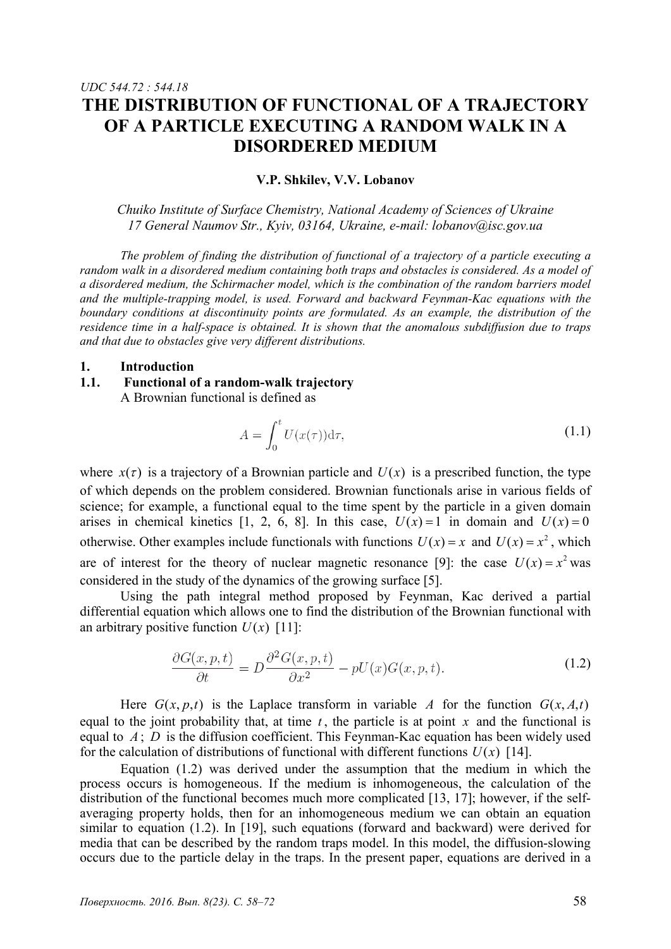#### **V.P. Shkilev, V.V. Lobanov**

**DISORDERED MEDIUM** 

*Chuiko Institute of Surface Chemistry, National Academy of Sciences of Ukraine 17 General Naumov Str., Kyiv, 03164, Ukraine, e-mail: lobanov@isc.gov.ua*

*The problem of finding the distribution of functional of a trajectory of a particle executing a random walk in a disordered medium containing both traps and obstacles is considered. As a model of a disordered medium, the Schirmacher model, which is the combination of the random barriers model and the multiple-trapping model, is used. Forward and backward Feynman-Kac equations with the boundary conditions at discontinuity points are formulated. As an example, the distribution of the residence time in a half-space is obtained. It is shown that the anomalous subdiffusion due to traps and that due to obstacles give very different distributions.* 

### **1. Introduction**

*UDC 544.72 : 544.18* 

## **1.1. Functional of a random-walk trajectory**  A Brownian functional is defined as

$$
A = \int_0^t U(x(\tau)) \mathrm{d}\tau,\tag{1.1}
$$

where  $x(\tau)$  is a trajectory of a Brownian particle and  $U(x)$  is a prescribed function, the type of which depends on the problem considered. Brownian functionals arise in various fields of science; for example, a functional equal to the time spent by the particle in a given domain arises in chemical kinetics [1, 2, 6, 8]. In this case,  $U(x) = 1$  in domain and  $U(x) = 0$ otherwise. Other examples include functionals with functions  $U(x) = x$  and  $U(x) = x^2$ , which are of interest for the theory of nuclear magnetic resonance [9]: the case  $U(x) = x^2$  was considered in the study of the dynamics of the growing surface [5].

Using the path integral method proposed by Feynman, Kac derived a partial differential equation which allows one to find the distribution of the Brownian functional with an arbitrary positive function  $U(x)$  [11]:

$$
\frac{\partial G(x, p, t)}{\partial t} = D \frac{\partial^2 G(x, p, t)}{\partial x^2} - pU(x)G(x, p, t).
$$
\n(1.2)

Here  $G(x, p, t)$  is the Laplace transform in variable A for the function  $G(x, A, t)$ equal to the joint probability that, at time  $t$ , the particle is at point  $x$  and the functional is equal to *A* ; *D* is the diffusion coefficient. This Feynman-Kac equation has been widely used for the calculation of distributions of functional with different functions  $U(x)$  [14].

Equation (1.2) was derived under the assumption that the medium in which the process occurs is homogeneous. If the medium is inhomogeneous, the calculation of the distribution of the functional becomes much more complicated  $[13, 17]$ ; however, if the selfaveraging property holds, then for an inhomogeneous medium we can obtain an equation similar to equation (1.2). In [19], such equations (forward and backward) were derived for media that can be described by the random traps model. In this model, the diffusion-slowing occurs due to the particle delay in the traps. In the present paper, equations are derived in a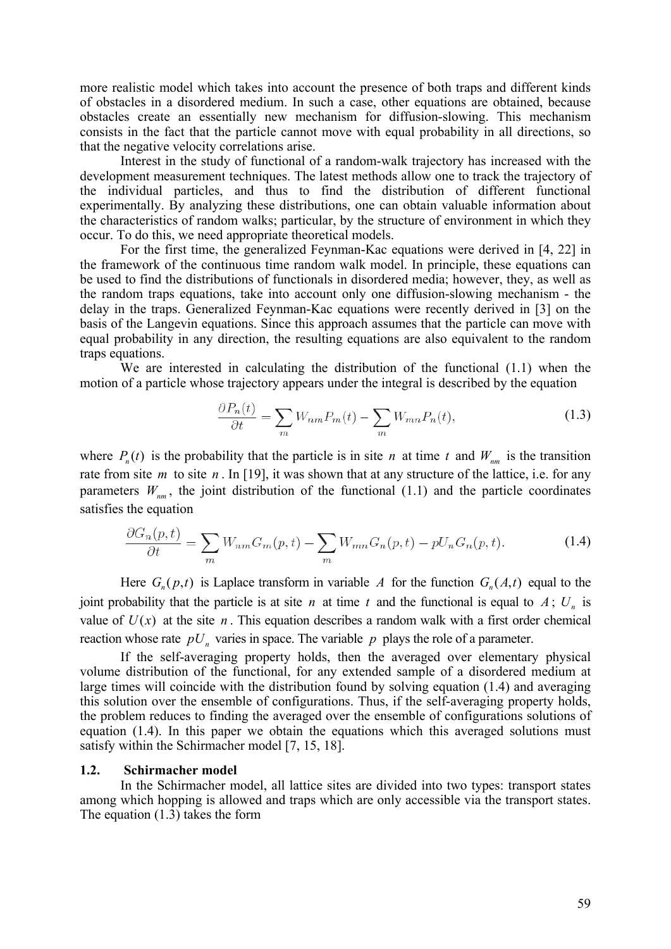more realistic model which takes into account the presence of both traps and different kinds of obstacles in a disordered medium. In such a case, other equations are obtained, because obstacles create an essentially new mechanism for diffusion-slowing. This mechanism consists in the fact that the particle cannot move with equal probability in all directions, so that the negative velocity correlations arise.

Interest in the study of functional of a random-walk trajectory has increased with the development measurement techniques. The latest methods allow one to track the trajectory of the individual particles, and thus to find the distribution of different functional experimentally. By analyzing these distributions, one can obtain valuable information about the characteristics of random walks; particular, by the structure of environment in which they occur. To do this, we need appropriate theoretical models.

For the first time, the generalized Feynman-Kac equations were derived in [4, 22] in the framework of the continuous time random walk model. In principle, these equations can be used to find the distributions of functionals in disordered media; however, they, as well as the random traps equations, take into account only one diffusion-slowing mechanism - the delay in the traps. Generalized Feynman-Kac equations were recently derived in [3] on the basis of the Langevin equations. Since this approach assumes that the particle can move with equal probability in any direction, the resulting equations are also equivalent to the random traps equations.

We are interested in calculating the distribution of the functional (1.1) when the motion of a particle whose trajectory appears under the integral is described by the equation

$$
\frac{\partial P_n(t)}{\partial t} = \sum_m W_{nm} P_m(t) - \sum_m W_{mn} P_n(t),\tag{1.3}
$$

where  $P_n(t)$  is the probability that the particle is in site *n* at time *t* and  $W_{nm}$  is the transition rate from site *m* to site *n* . In [19], it was shown that at any structure of the lattice, i.e. for any parameters  $W_{nm}$ , the joint distribution of the functional (1.1) and the particle coordinates satisfies the equation

$$
\frac{\partial G_n(p,t)}{\partial t} = \sum_m W_{nm} G_m(p,t) - \sum_m W_{mn} G_n(p,t) - pU_n G_n(p,t). \tag{1.4}
$$

Here  $G_n(p,t)$  is Laplace transform in variable A for the function  $G_n(A,t)$  equal to the joint probability that the particle is at site *n* at time *t* and the functional is equal to  $A$ ;  $U_n$  is value of  $U(x)$  at the site *n*. This equation describes a random walk with a first order chemical reaction whose rate  $pU<sub>n</sub>$  varies in space. The variable p plays the role of a parameter.

If the self-averaging property holds, then the averaged over elementary physical volume distribution of the functional, for any extended sample of a disordered medium at large times will coincide with the distribution found by solving equation (1.4) and averaging this solution over the ensemble of configurations. Thus, if the self-averaging property holds, the problem reduces to finding the averaged over the ensemble of configurations solutions of equation (1.4). In this paper we obtain the equations which this averaged solutions must satisfy within the Schirmacher model [7, 15, 18].

## **1.2. Schirmacher model**

In the Schirmacher model, all lattice sites are divided into two types: transport states among which hopping is allowed and traps which are only accessible via the transport states. The equation (1.3) takes the form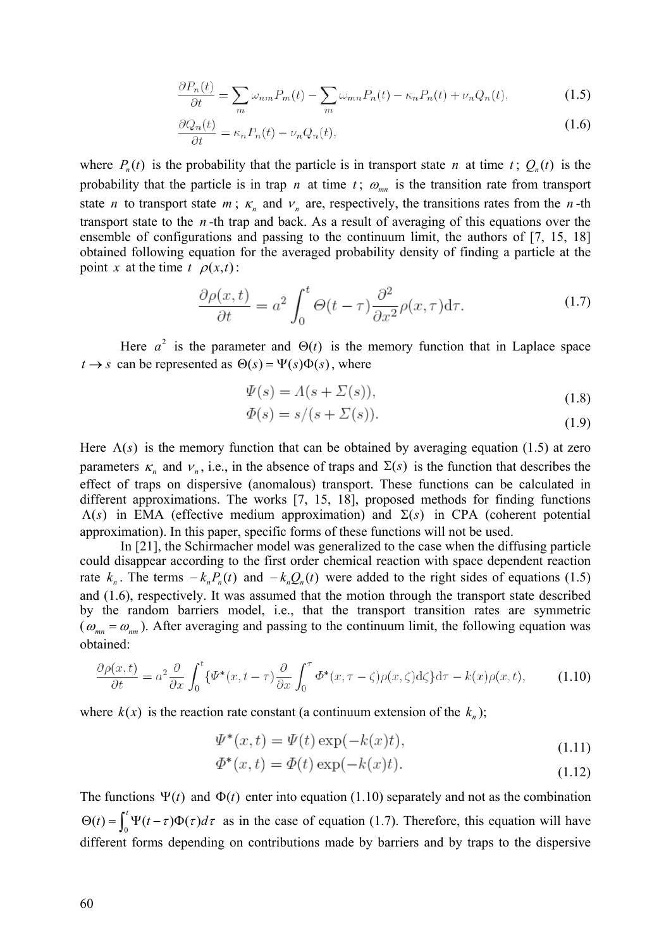$$
\frac{\partial P_n(t)}{\partial t} = \sum_m \omega_{nm} P_m(t) - \sum_m \omega_{mn} P_n(t) - \kappa_n P_n(t) + \nu_n Q_n(t),\tag{1.5}
$$

$$
\frac{\partial Q_n(t)}{\partial t} = \kappa_n P_n(t) - \nu_n Q_n(t),\tag{1.6}
$$

where  $P_n(t)$  is the probability that the particle is in transport state *n* at time *t*;  $Q_n(t)$  is the probability that the particle is in trap *n* at time  $t$ ;  $\omega_{mn}$  is the transition rate from transport state *n* to transport state *m*;  $\kappa_n$  and  $\nu_n$  are, respectively, the transitions rates from the *n*-th transport state to the *n* -th trap and back. As a result of averaging of this equations over the ensemble of configurations and passing to the continuum limit, the authors of [7, 15, 18] obtained following equation for the averaged probability density of finding a particle at the point *x* at the time  $t \rho(x,t)$ :

$$
\frac{\partial \rho(x,t)}{\partial t} = a^2 \int_0^t \Theta(t-\tau) \frac{\partial^2}{\partial x^2} \rho(x,\tau) d\tau.
$$
 (1.7)

Here  $a^2$  is the parameter and  $\Theta(t)$  is the memory function that in Laplace space  $t \rightarrow s$  can be represented as  $\Theta(s) = \Psi(s)\Phi(s)$ , where

$$
\Psi(s) = \Lambda(s + \Sigma(s)),\tag{1.8}
$$

$$
\Phi(s) = s/(s + \Sigma(s)).\tag{1.9}
$$

Here  $\Lambda(s)$  is the memory function that can be obtained by averaging equation (1.5) at zero parameters  $\kappa_n$  and  $\nu_n$ , i.e., in the absence of traps and  $\Sigma(s)$  is the function that describes the effect of traps on dispersive (anomalous) transport. These functions can be calculated in different approximations. The works [7, 15, 18], proposed methods for finding functions  $\Lambda(s)$  in EMA (effective medium approximation) and  $\Sigma(s)$  in CPA (coherent potential approximation). In this paper, specific forms of these functions will not be used.

In [21], the Schirmacher model was generalized to the case when the diffusing particle could disappear according to the first order chemical reaction with space dependent reaction rate  $k_n$ . The terms  $-k_n P_n(t)$  and  $-k_n Q_n(t)$  were added to the right sides of equations (1.5) and (1.6), respectively. It was assumed that the motion through the transport state described by the random barriers model, i.e., that the transport transition rates are symmetric ( $\omega_{mn} = \omega_{nm}$ ). After averaging and passing to the continuum limit, the following equation was obtained:

$$
\frac{\partial \rho(x,t)}{\partial t} = a^2 \frac{\partial}{\partial x} \int_0^t \{ \Psi^*(x, t - \tau) \frac{\partial}{\partial x} \int_0^{\tau} \Phi^*(x, \tau - \zeta) \rho(x, \zeta) d\zeta \} d\tau - k(x) \rho(x, t), \tag{1.10}
$$

where  $k(x)$  is the reaction rate constant (a continuum extension of the  $k_n$ );

$$
\Psi^*(x,t) = \Psi(t) \exp(-k(x)t),\tag{1.11}
$$

$$
\Phi^*(x,t) = \Phi(t) \exp(-k(x)t). \tag{1.12}
$$

The functions  $\Psi(t)$  and  $\Phi(t)$  enter into equation (1.10) separately and not as the combination  $\Theta(t) = \int_0^t \Psi(t-\tau)\Phi(\tau)d\tau$  as in the case of equation (1.7). Therefore, this equation will have different forms depending on contributions made by barriers and by traps to the dispersive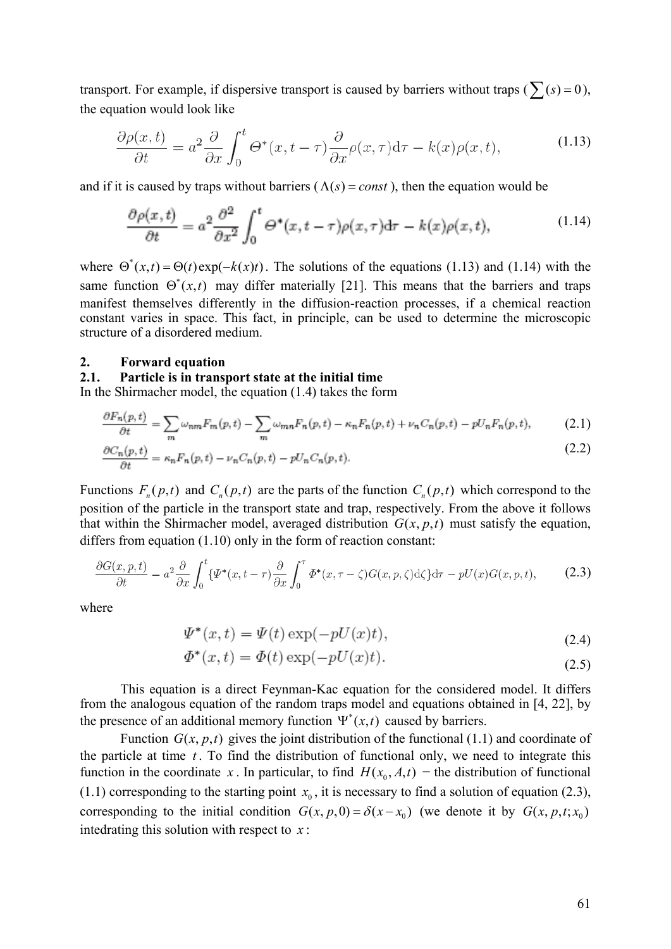transport. For example, if dispersive transport is caused by barriers without traps ( $\sum(s) = 0$ ), the equation would look like

$$
\frac{\partial \rho(x,t)}{\partial t} = a^2 \frac{\partial}{\partial x} \int_0^t \Theta^*(x, t - \tau) \frac{\partial}{\partial x} \rho(x, \tau) d\tau - k(x) \rho(x, t), \tag{1.13}
$$

and if it is caused by traps without barriers ( $\Lambda(s) = const$ ), then the equation would be

$$
\frac{\partial \rho(x,t)}{\partial t} = a^2 \frac{\partial^2}{\partial x^2} \int_0^t \Theta^*(x,t-\tau) \rho(x,\tau) d\tau - k(x) \rho(x,t), \tag{1.14}
$$

where  $\Theta^*(x,t) = \Theta(t) \exp(-k(x)t)$ . The solutions of the equations (1.13) and (1.14) with the same function  $\Theta^*(x,t)$  may differ materially [21]. This means that the barriers and traps manifest themselves differently in the diffusion-reaction processes, if a chemical reaction constant varies in space. This fact, in principle, can be used to determine the microscopic structure of a disordered medium.

#### **2. Forward equation**

## **2.1. Particle is in transport state at the initial time**

In the Shirmacher model, the equation (1.4) takes the form

$$
\frac{\partial F_n(p,t)}{\partial t} = \sum_m \omega_{nm} F_m(p,t) - \sum_m \omega_{mn} F_n(p,t) - \kappa_n F_n(p,t) + \nu_n C_n(p,t) - pU_n F_n(p,t),\tag{2.1}
$$

$$
\frac{\partial C_n(p,t)}{\partial t} = \kappa_n F_n(p,t) - \nu_n C_n(p,t) - pU_n C_n(p,t). \tag{2.2}
$$

Functions  $F_n(p,t)$  and  $C_n(p,t)$  are the parts of the function  $C_n(p,t)$  which correspond to the position of the particle in the transport state and trap, respectively. From the above it follows that within the Shirmacher model, averaged distribution  $G(x, p, t)$  must satisfy the equation, differs from equation (1.10) only in the form of reaction constant:

$$
\frac{\partial G(x, p, t)}{\partial t} = a^2 \frac{\partial}{\partial x} \int_0^t \{ \Psi^*(x, t - \tau) \frac{\partial}{\partial x} \int_0^{\tau} \Phi^*(x, \tau - \zeta) G(x, p, \zeta) d\zeta \} d\tau - pU(x) G(x, p, t), \tag{2.3}
$$

where

$$
\Psi^*(x,t) = \Psi(t) \exp(-pU(x)t),\tag{2.4}
$$

$$
\Phi^*(x,t) = \Phi(t) \exp(-pU(x)t). \tag{2.5}
$$

This equation is a direct Feynman-Kac equation for the considered model. It differs from the analogous equation of the random traps model and equations obtained in [4, 22], by the presence of an additional memory function  $\Psi^*(x,t)$  caused by barriers.

Function  $G(x, p, t)$  gives the joint distribution of the functional (1.1) and coordinate of the particle at time  $t$ . To find the distribution of functional only, we need to integrate this function in the coordinate *x*. In particular, to find  $H(x_0, A, t)$  – the distribution of functional (1.1) corresponding to the starting point  $x_0$ , it is necessary to find a solution of equation (2.3), corresponding to the initial condition  $G(x, p, 0) = \delta(x - x_0)$  (we denote it by  $G(x, p, t; x_0)$ ) intedrating this solution with respect to *x* :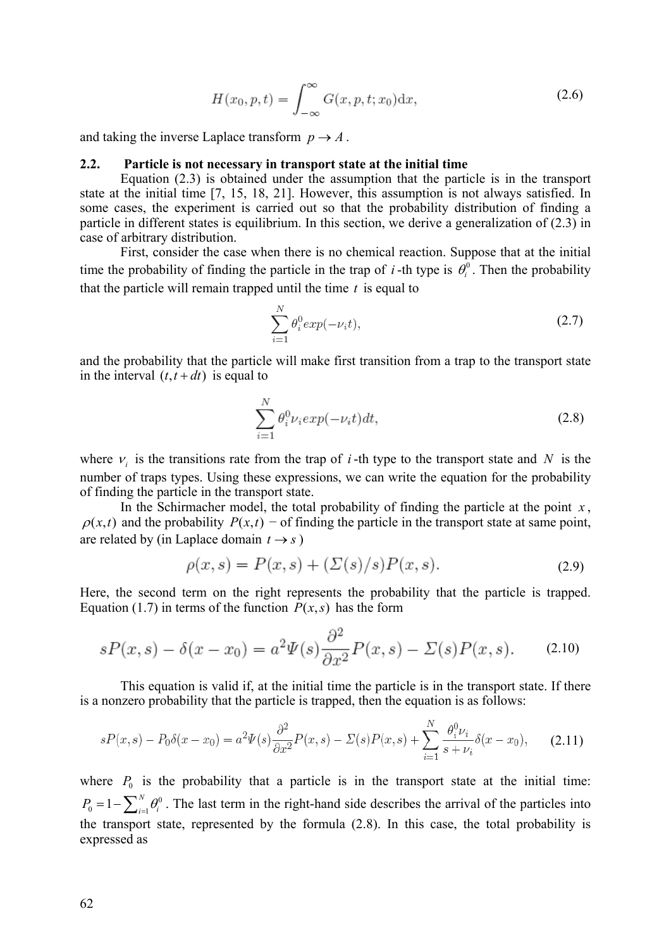$$
H(x_0, p, t) = \int_{-\infty}^{\infty} G(x, p, t; x_0) \mathrm{d}x,\tag{2.6}
$$

and taking the inverse Laplace transform  $p \rightarrow A$ .

## **2.2. Particle is not necessary in transport state at the initial time**

Equation (2.3) is obtained under the assumption that the particle is in the transport state at the initial time [7, 15, 18, 21]. However, this assumption is not always satisfied. In some cases, the experiment is carried out so that the probability distribution of finding a particle in different states is equilibrium. In this section, we derive a generalization of (2.3) in case of arbitrary distribution.

First, consider the case when there is no chemical reaction. Suppose that at the initial time the probability of finding the particle in the trap of *i*-th type is  $\theta_i^0$ . Then the probability that the particle will remain trapped until the time *t* is equal to

$$
\sum_{i=1}^{N} \theta_i^0 exp(-\nu_i t), \qquad (2.7)
$$

and the probability that the particle will make first transition from a trap to the transport state in the interval  $(t, t + dt)$  is equal to

$$
\sum_{i=1}^{N} \theta_i^0 \nu_i exp(-\nu_i t) dt,
$$
\n(2.8)

where  $v_i$  is the transitions rate from the trap of *i*-th type to the transport state and *N* is the number of traps types. Using these expressions, we can write the equation for the probability of finding the particle in the transport state.

In the Schirmacher model, the total probability of finding the particle at the point  $x$ ,  $\rho(x,t)$  and the probability  $P(x,t)$  – of finding the particle in the transport state at same point, are related by (in Laplace domain  $t \rightarrow s$ )

$$
\rho(x,s) = P(x,s) + (\Sigma(s)/s)P(x,s).
$$
 (2.9)

Here, the second term on the right represents the probability that the particle is trapped. Equation (1.7) in terms of the function  $P(x, s)$  has the form

$$
sP(x,s) - \delta(x - x_0) = a^2 \Psi(s) \frac{\partial^2}{\partial x^2} P(x,s) - \Sigma(s) P(x,s). \tag{2.10}
$$

This equation is valid if, at the initial time the particle is in the transport state. If there is a nonzero probability that the particle is trapped, then the equation is as follows:

$$
sP(x,s) - P_0\delta(x-x_0) = a^2\Psi(s)\frac{\partial^2}{\partial x^2}P(x,s) - \Sigma(s)P(x,s) + \sum_{i=1}^N \frac{\theta_i^0 \nu_i}{s + \nu_i} \delta(x-x_0),\tag{2.11}
$$

where  $P_0$  is the probability that a particle is in the transport state at the initial time:  $\boldsymbol{0}$  $P_0 = 1 - \sum_{i=1}^{N} \theta_i^0$ . The last term in the right-hand side describes the arrival of the particles into the transport state, represented by the formula (2.8). In this case, the total probability is expressed as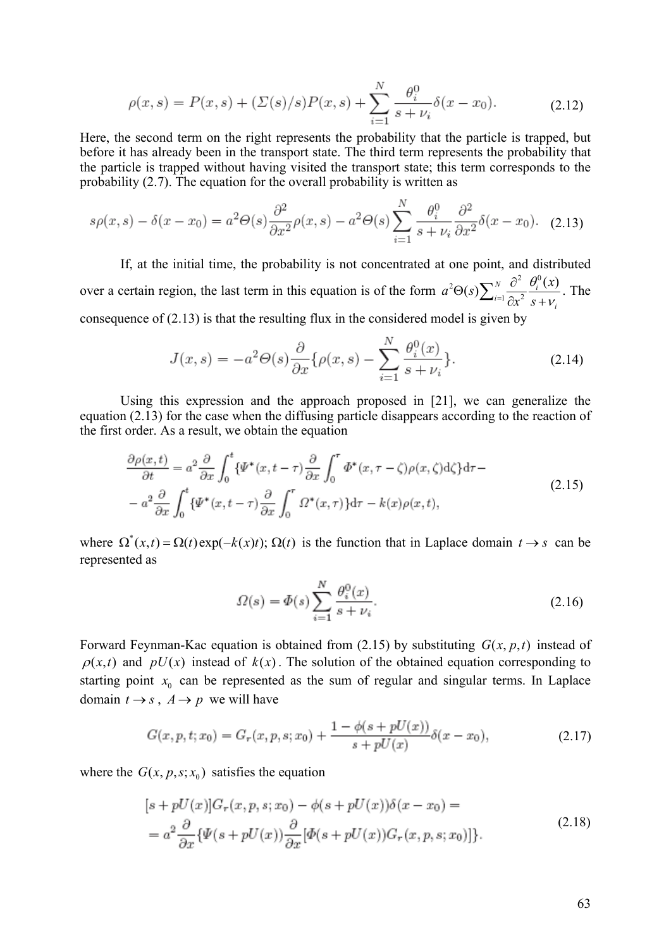$$
\rho(x,s) = P(x,s) + (\Sigma(s)/s)P(x,s) + \sum_{i=1}^{N} \frac{\theta_i^0}{s + \nu_i} \delta(x - x_0).
$$
 (2.12)

Here, the second term on the right represents the probability that the particle is trapped, but before it has already been in the transport state. The third term represents the probability that the particle is trapped without having visited the transport state; this term corresponds to the probability (2.7). The equation for the overall probability is written as

$$
s\rho(x,s) - \delta(x - x_0) = a^2 \Theta(s) \frac{\partial^2}{\partial x^2} \rho(x,s) - a^2 \Theta(s) \sum_{i=1}^N \frac{\theta_i^0}{s + \nu_i} \frac{\partial^2}{\partial x^2} \delta(x - x_0). \tag{2.13}
$$

If, at the initial time, the probability is not concentrated at one point, and distributed over a certain region, the last term in this equation is of the form  $\sum_{i=1}^N \sum_{j=1}^N \hat{\theta}_i^2$  $\sum_{i=1}^{N} \frac{\partial^2}{\partial x^2} \frac{\theta_i^0(x)}{s + v_i}$  $a^2\Theta(s)\sum_{i=1}^N\frac{\partial^2}{\partial s^2}\frac{\theta_i^0(x)}{x^2}$  $x^2$  *s*  $\theta$  $\Theta(s) \sum_{i=1}^{N} \frac{\partial^2}{\partial x^2} \frac{\theta_i^0(x)}{s + v_i}$ . The consequence of (2.13) is that the resulting flux in the considered model is given by

$$
J(x,s) = -a^2 \Theta(s) \frac{\partial}{\partial x} \{ \rho(x,s) - \sum_{i=1}^N \frac{\theta_i^0(x)}{s + \nu_i} \}.
$$
 (2.14)

Using this expression and the approach proposed in [21], we can generalize the equation (2.13) for the case when the diffusing particle disappears according to the reaction of the first order. As a result, we obtain the equation

$$
\frac{\partial \rho(x,t)}{\partial t} = a^2 \frac{\partial}{\partial x} \int_0^t {\{\Psi^*(x,t-\tau)\frac{\partial}{\partial x} \int_0^\tau \Phi^*(x,\tau-\zeta)\rho(x,\zeta)d\zeta\} d\tau} - a^2 \frac{\partial}{\partial x} \int_0^t {\{\Psi^*(x,t-\tau)\frac{\partial}{\partial x} \int_0^\tau \Omega^*(x,\tau)\} d\tau} - k(x)\rho(x,t),
$$
\n(2.15)

where  $\Omega^*(x, t) = \Omega(t) \exp(-k(x)t)$ ;  $\Omega(t)$  is the function that in Laplace domain  $t \to s$  can be represented as

$$
\Omega(s) = \Phi(s) \sum_{i=1}^{N} \frac{\theta_i^0(x)}{s + \nu_i}.
$$
\n(2.16)

Forward Feynman-Kac equation is obtained from (2.15) by substituting  $G(x, p, t)$  instead of  $\rho(x,t)$  and  $pU(x)$  instead of  $k(x)$ . The solution of the obtained equation corresponding to starting point  $x_0$  can be represented as the sum of regular and singular terms. In Laplace domain  $t \rightarrow s$ ,  $A \rightarrow p$  we will have

$$
G(x, p, t; x_0) = G_r(x, p, s; x_0) + \frac{1 - \phi(s + pU(x))}{s + pU(x)} \delta(x - x_0),
$$
\n(2.17)

where the  $G(x, p, s; x_0)$  satisfies the equation

$$
[s + pU(x)]G_r(x, p, s; x_0) - \phi(s + pU(x))\delta(x - x_0) =
$$
  
= 
$$
a^2 \frac{\partial}{\partial x} {\{\Psi(s + pU(x))\frac{\partial}{\partial x}[\Phi(s + pU(x))G_r(x, p, s; x_0)]\}}.
$$
 (2.18)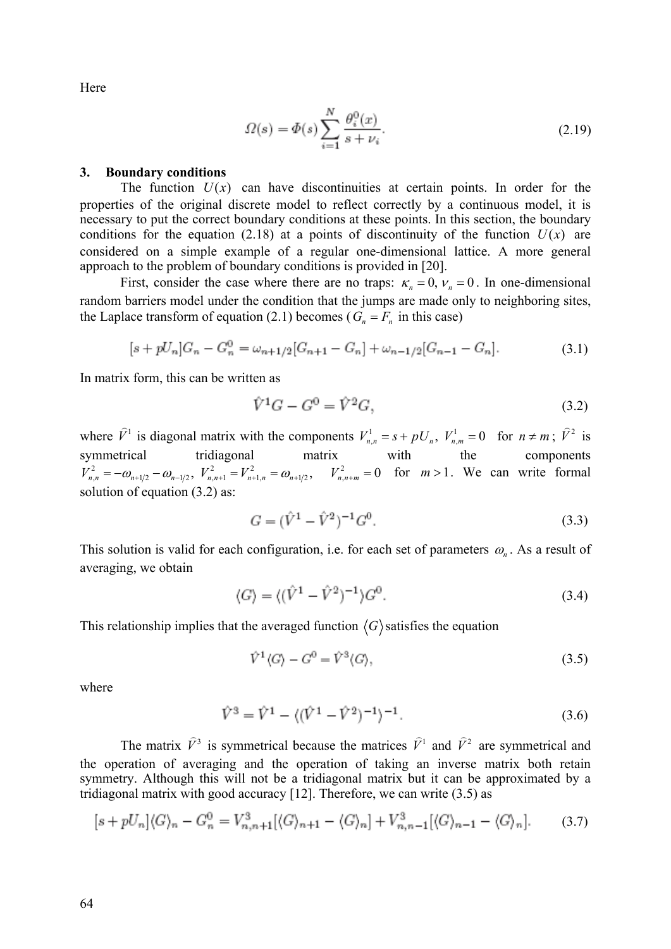Here

$$
\Omega(s) = \Phi(s) \sum_{i=1}^{N} \frac{\theta_i^0(x)}{s + \nu_i}.
$$
\n(2.19)

### **3. Boundary conditions**

The function  $U(x)$  can have discontinuities at certain points. In order for the properties of the original discrete model to reflect correctly by a continuous model, it is necessary to put the correct boundary conditions at these points. In this section, the boundary conditions for the equation (2.18) at a points of discontinuity of the function  $U(x)$  are considered on a simple example of a regular one-dimensional lattice. A more general approach to the problem of boundary conditions is provided in [20].

First, consider the case where there are no traps:  $\kappa_n = 0$ ,  $V_n = 0$ . In one-dimensional random barriers model under the condition that the jumps are made only to neighboring sites, the Laplace transform of equation (2.1) becomes ( $G_n = F_n$  in this case)

$$
[s + pU_n]G_n - G_n^0 = \omega_{n+1/2}[G_{n+1} - G_n] + \omega_{n-1/2}[G_{n-1} - G_n].
$$
\n(3.1)

In matrix form, this can be written as

$$
\hat{V}^1 G - G^0 = \hat{V}^2 G,\tag{3.2}
$$

where  $\hat{V}^1$  is diagonal matrix with the components  $V_{n,n}^1 = s + pU_n$ ,  $V_{n,m}^1 = 0$  for  $n \neq m$ ;  $\hat{V}^2$  is symmetrical tridiagonal matrix with the components  $V_{n,n}^2 = -\omega_{n+1/2} - \omega_{n-1/2}, V_{n,n+1}^2 = V_{n+1,n}^2 = \omega_{n+1/2}, V_{n,n+m}^2 = 0$  for  $m > 1$ . We can write formal solution of equation (3.2) as:

$$
G = (\hat{V}^1 - \hat{V}^2)^{-1} G^0.
$$
\n(3.3)

This solution is valid for each configuration, i.e. for each set of parameters  $\omega_{n}$ . As a result of averaging, we obtain

$$
\langle G \rangle = \langle (\hat{V}^1 - \hat{V}^2)^{-1} \rangle G^0.
$$
 (3.4)

This relationship implies that the averaged function  $\langle G \rangle$  satisfies the equation

$$
\hat{V}^1 \langle G \rangle - G^0 = \hat{V}^3 \langle G \rangle, \tag{3.5}
$$

where

$$
\hat{V}^3 = \hat{V}^1 - \langle (\hat{V}^1 - \hat{V}^2)^{-1} \rangle^{-1}.
$$
\n(3.6)

The matrix  $\hat{V}^3$  is symmetrical because the matrices  $\hat{V}^1$  and  $\hat{V}^2$  are symmetrical and the operation of averaging and the operation of taking an inverse matrix both retain symmetry. Although this will not be a tridiagonal matrix but it can be approximated by a tridiagonal matrix with good accuracy [12]. Therefore, we can write (3.5) as

$$
[s + pU_n](G)_n - G_n^0 = V_{n,n+1}^3 [\langle G \rangle_{n+1} - \langle G \rangle_n] + V_{n,n-1}^3 [\langle G \rangle_{n-1} - \langle G \rangle_n]. \tag{3.7}
$$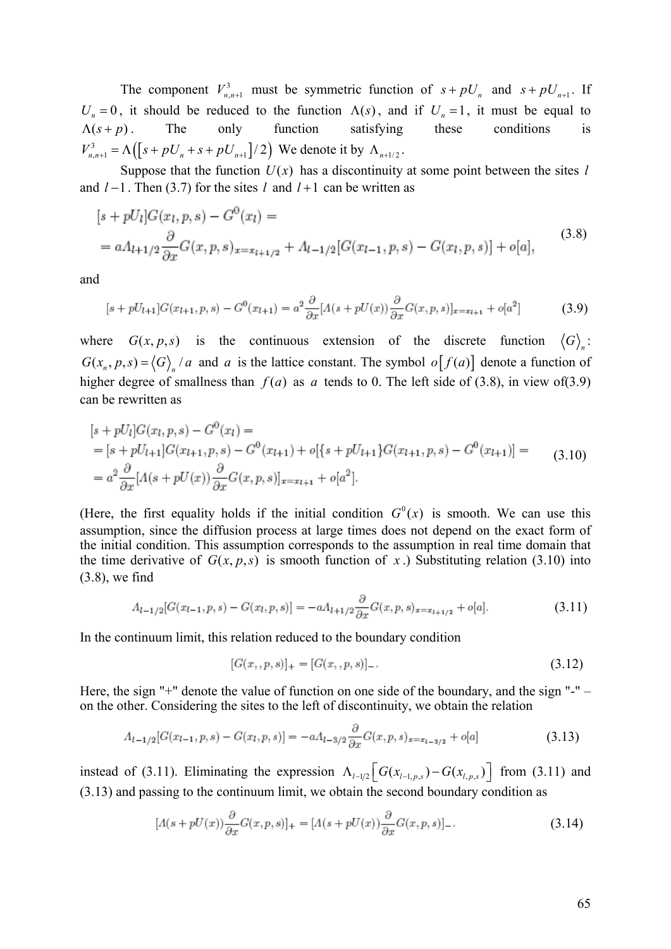The component  $V_{n,n+1}^3$  must be symmetric function of  $s + pU_n$  and  $s + pU_{n+1}$ . If  $U_n = 0$ , it should be reduced to the function  $\Lambda(s)$ , and if  $U_n = 1$ , it must be equal to  $\Lambda(s+p)$ . The only function satisfying these conditions is  $V_{n,n+1}^3 = \Lambda ([s + pU_n + s + pU_{n+1}]/2)$  We denote it by  $\Lambda_{n+1/2}$ .

Suppose that the function  $U(x)$  has a discontinuity at some point between the sites *l* and  $l-1$ . Then (3.7) for the sites  $l$  and  $l+1$  can be written as

$$
[s + pU_l]G(x_l, p, s) - G^0(x_l) =
$$
  
=  $a\Lambda_{l+1/2} \frac{\partial}{\partial x} G(x, p, s)_{x = x_{l+1/2}} + \Lambda_{l-1/2} [G(x_{l-1}, p, s) - G(x_l, p, s)] + o[a],$  (3.8)

and

$$
[s + pU_{l+1}]G(x_{l+1}, p, s) - G^{0}(x_{l+1}) = a^{2} \frac{\partial}{\partial x} [A(s + pU(x)) \frac{\partial}{\partial x} G(x, p, s)]_{x = x_{l+1}} + o[a^{2}]
$$
(3.9)

where  $G(x, p, s)$  is the continuous extension of the discrete function  $\langle G \rangle$ :  $G(x_n, p, s) = \langle G \rangle$  /a and a is the lattice constant. The symbol  $o[f(a)]$  denote a function of higher degree of smallness than  $f(a)$  as a tends to 0. The left side of (3.8), in view of(3.9) can be rewritten as

$$
[s + pU_l]G(x_l, p, s) - G^0(x_l) =
$$
  
=  $[s + pU_{l+1}]G(x_{l+1}, p, s) - G^0(x_{l+1}) + o[{s + pU_{l+1}}]G(x_{l+1}, p, s) - G^0(x_{l+1})] =$   
=  $a^2 \frac{\partial}{\partial x} [A(s + pU(x)) \frac{\partial}{\partial x} G(x, p, s)]_{x = x_{l+1}} + o[a^2].$  (3.10)

(Here, the first equality holds if the initial condition  $G^{0}(x)$  is smooth. We can use this assumption, since the diffusion process at large times does not depend on the exact form of the initial condition. This assumption corresponds to the assumption in real time domain that the time derivative of  $G(x, p, s)$  is smooth function of x.) Substituting relation (3.10) into (3.8), we find

$$
A_{l-1/2}[G(x_{l-1}, p, s) - G(x_l, p, s)] = -aA_{l+1/2}\frac{\partial}{\partial x}G(x, p, s)_{x = x_{l+1/2}} + o[a].
$$
\n(3.11)

In the continuum limit, this relation reduced to the boundary condition

$$
[G(x, p, s)]_{+} = [G(x, p, s)]_{-}.
$$
\n(3.12)

Here, the sign "+" denote the value of function on one side of the boundary, and the sign "-" – on the other. Considering the sites to the left of discontinuity, we obtain the relation

$$
A_{l-1/2}[G(x_{l-1}, p, s) - G(x_l, p, s)] = -aA_{l-3/2} \frac{\partial}{\partial x} G(x, p, s)_{x = x_{l-3/2}} + o[a]
$$
(3.13)

instead of (3.11). Eliminating the expression  $\Lambda_{l-1/2} \left[ G(x_{l-1,p,s}) - G(x_{l,p,s}) \right]$  from (3.11) and (3.13) and passing to the continuum limit, we obtain the second boundary condition as

$$
[A(s+pU(x))\frac{\partial}{\partial x}G(x,p,s)]_{+} = [A(s+pU(x))\frac{\partial}{\partial x}G(x,p,s)]_{-}.
$$
\n(3.14)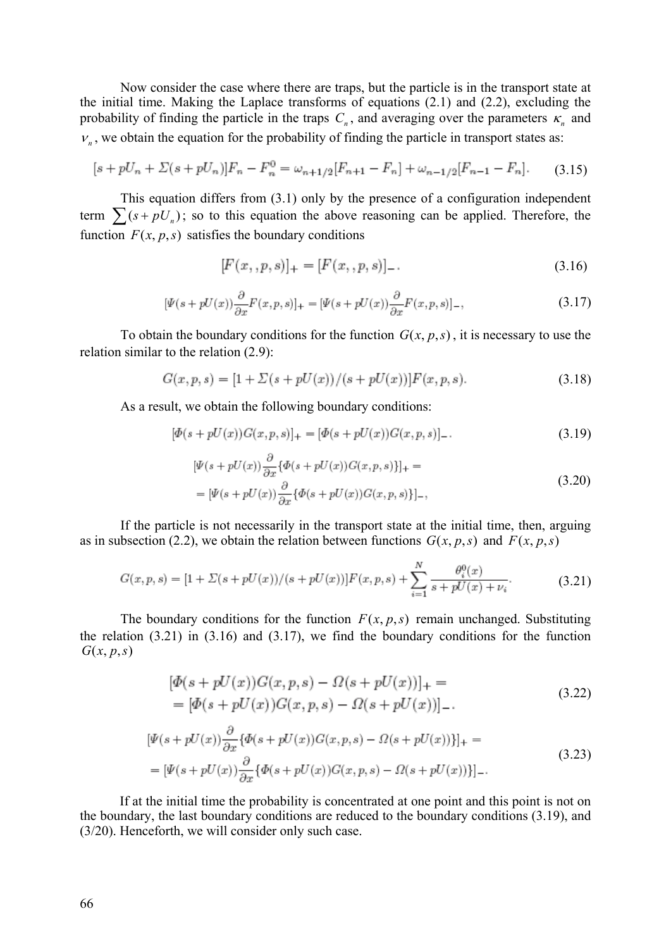Now consider the case where there are traps, but the particle is in the transport state at the initial time. Making the Laplace transforms of equations (2.1) and (2.2), excluding the probability of finding the particle in the traps  $C_n$ , and averaging over the parameters  $\kappa_n$  and  $v_n$ , we obtain the equation for the probability of finding the particle in transport states as:

$$
[s + pU_n + \Sigma(s + pU_n)]F_n - F_n^0 = \omega_{n+1/2}[F_{n+1} - F_n] + \omega_{n-1/2}[F_{n-1} - F_n].
$$
 (3.15)

This equation differs from (3.1) only by the presence of a configuration independent term  $\sum (s + pU_n)$ ; so to this equation the above reasoning can be applied. Therefore, the function  $F(x, p, s)$  satisfies the boundary conditions

$$
[F(x, , p, s)]_{+} = [F(x, , p, s)]_{-}.
$$
\n(3.16)

$$
[\Psi(s+pU(x))\frac{\partial}{\partial x}F(x,p,s)]_{+} = [\Psi(s+pU(x))\frac{\partial}{\partial x}F(x,p,s)]_{-},
$$
\n(3.17)

To obtain the boundary conditions for the function  $G(x, p, s)$ , it is necessary to use the relation similar to the relation (2.9):

$$
G(x, p, s) = [1 + \Sigma(s + pU(x))/(s + pU(x))]F(x, p, s).
$$
\n(3.18)

As a result, we obtain the following boundary conditions:

 $\sim$ 

$$
[\Phi(s + pU(x))G(x, p, s)]_{+} = [\Phi(s + pU(x))G(x, p, s)]_{-}.
$$
\n(3.19)

$$
[\Psi(s + pU(x))\frac{\partial}{\partial x}\{\Phi(s + pU(x))G(x, p, s)\}]_{+} =
$$
  
= [\Psi(s + pU(x))\frac{\partial}{\partial x}\{\Phi(s + pU(x))G(x, p, s)\}]\_{-}, (3.20)

If the particle is not necessarily in the transport state at the initial time, then, arguing as in subsection (2.2), we obtain the relation between functions  $G(x, p, s)$  and  $F(x, p, s)$ 

$$
G(x, p, s) = [1 + \Sigma(s + pU(x))/(s + pU(x))]F(x, p, s) + \sum_{i=1}^{N} \frac{\theta_i^0(x)}{s + pU(x) + \nu_i}.
$$
 (3.21)

The boundary conditions for the function  $F(x, p, s)$  remain unchanged. Substituting the relation  $(3.21)$  in  $(3.16)$  and  $(3.17)$ , we find the boundary conditions for the function  $G(x, p, s)$ 

$$
[\Phi(s + pU(x))G(x, p, s) - \Omega(s + pU(x))]_{+} =
$$
  
= [\Phi(s + pU(x))G(x, p, s) - \Omega(s + pU(x))]\_{-}. (3.22)

$$
[\Psi(s+pU(x))\frac{\partial}{\partial x}\{\Phi(s+pU(x))G(x,p,s)-\Omega(s+pU(x))\}]_{+} =
$$
\n
$$
= [\Psi(s+pU(x))\frac{\partial}{\partial x}\{\Phi(s+pU(x))G(x,p,s)-\Omega(s+pU(x))\}]_{-}.
$$
\n(3.23)

If at the initial time the probability is concentrated at one point and this point is not on the boundary, the last boundary conditions are reduced to the boundary conditions (3.19), and (3/20). Henceforth, we will consider only such case.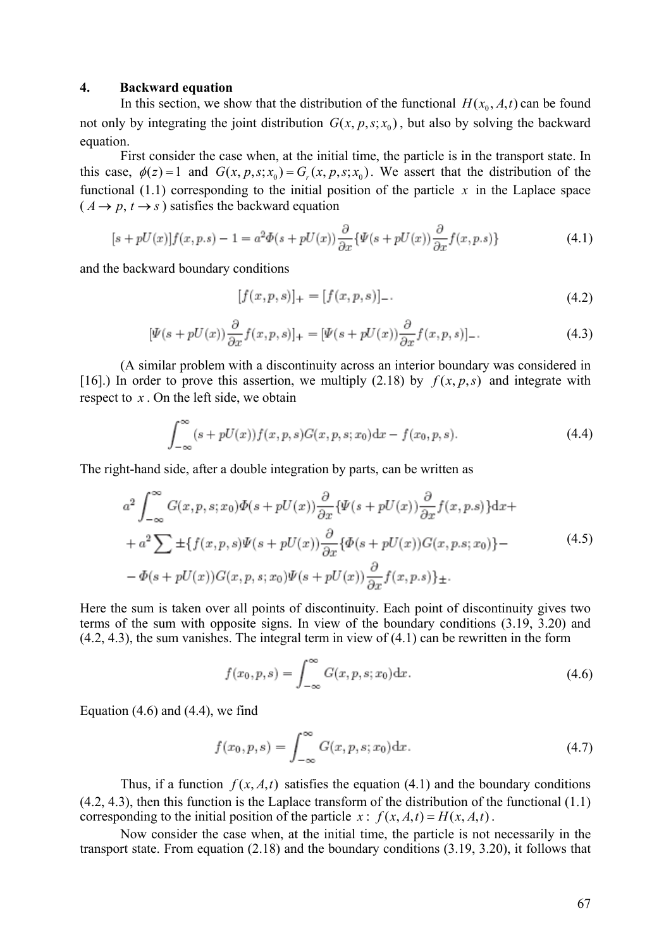# **4. Backward equation**

In this section, we show that the distribution of the functional  $H(x_0, A, t)$  can be found not only by integrating the joint distribution  $G(x, p, s; x_0)$ , but also by solving the backward equation.

First consider the case when, at the initial time, the particle is in the transport state. In this case,  $\phi(z) = 1$  and  $G(x, p, s; x_0) = G_r(x, p, s; x_0)$ . We assert that the distribution of the functional (1.1) corresponding to the initial position of the particle  $x$  in the Laplace space  $(A \rightarrow p, t \rightarrow s)$  satisfies the backward equation

$$
[s + pU(x)]f(x, p.s) - 1 = a^2 \Phi(s + pU(x)) \frac{\partial}{\partial x} \{ \Psi(s + pU(x)) \frac{\partial}{\partial x} f(x, p.s) \}
$$
(4.1)

and the backward boundary conditions

$$
[f(x, p, s)]_{+} = [f(x, p, s)]_{-}.
$$
\n(4.2)

$$
[\Psi(s+pU(x))\frac{\partial}{\partial x}f(x,p,s)]_{+} = [\Psi(s+pU(x))\frac{\partial}{\partial x}f(x,p,s)]_{-}.
$$
\n(4.3)

(A similar problem with a discontinuity across an interior boundary was considered in [16].) In order to prove this assertion, we multiply (2.18) by  $f(x, p, s)$  and integrate with respect to *x* . On the left side, we obtain

$$
\int_{-\infty}^{\infty} (s + pU(x)) f(x, p, s) G(x, p, s; x_0) dx - f(x_0, p, s).
$$
 (4.4)

The right-hand side, after a double integration by parts, can be written as

$$
a^{2} \int_{-\infty}^{\infty} G(x, p, s; x_{0}) \Phi(s + pU(x)) \frac{\partial}{\partial x} \{\Psi(s + pU(x)) \frac{\partial}{\partial x} f(x, p, s)\} dx +
$$
  
+ 
$$
a^{2} \sum \pm \{f(x, p, s) \Psi(s + pU(x)) \frac{\partial}{\partial x} \{\Phi(s + pU(x)) G(x, p, s; x_{0})\} -
$$

$$
- \Phi(s + pU(x)) G(x, p, s; x_{0}) \Psi(s + pU(x)) \frac{\partial}{\partial x} f(x, p, s)\} \pm.
$$
(4.5)

Here the sum is taken over all points of discontinuity. Each point of discontinuity gives two terms of the sum with opposite signs. In view of the boundary conditions (3.19, 3.20) and  $(4.2, 4.3)$ , the sum vanishes. The integral term in view of  $(4.1)$  can be rewritten in the form

$$
f(x_0, p, s) = \int_{-\infty}^{\infty} G(x, p, s; x_0) \, dx.
$$
 (4.6)

Equation  $(4.6)$  and  $(4.4)$ , we find

$$
f(x_0, p, s) = \int_{-\infty}^{\infty} G(x, p, s; x_0) dx.
$$
 (4.7)

Thus, if a function  $f(x, A, t)$  satisfies the equation (4.1) and the boundary conditions (4.2, 4.3), then this function is the Laplace transform of the distribution of the functional (1.1) corresponding to the initial position of the particle  $x: f(x, A, t) = H(x, A, t)$ .

Now consider the case when, at the initial time, the particle is not necessarily in the transport state. From equation (2.18) and the boundary conditions (3.19, 3.20), it follows that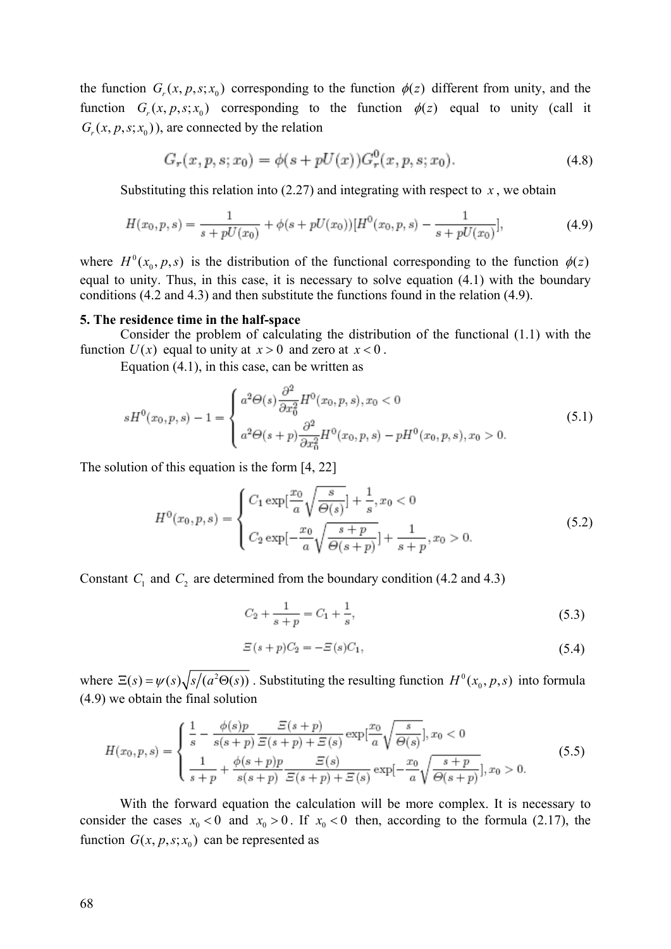the function  $G_r(x, p, s; x_0)$  corresponding to the function  $\phi(z)$  different from unity, and the function  $G_r(x, p, s; x_0)$  corresponding to the function  $\phi(z)$  equal to unity (call it  $G_r(x, p, s; x_0)$ , are connected by the relation

$$
G_r(x, p, s; x_0) = \phi(s + pU(x))G_r^0(x, p, s; x_0).
$$
\n(4.8)

Substituting this relation into  $(2.27)$  and integrating with respect to  $x$ , we obtain

$$
H(x_0, p, s) = \frac{1}{s + pU(x_0)} + \phi(s + pU(x_0))[H^0(x_0, p, s) - \frac{1}{s + pU(x_0)}],
$$
\n(4.9)

where  $H^0(x_0, p, s)$  is the distribution of the functional corresponding to the function  $\phi(z)$ equal to unity. Thus, in this case, it is necessary to solve equation (4.1) with the boundary conditions (4.2 and 4.3) and then substitute the functions found in the relation (4.9).

## **5. The residence time in the half-space**

Consider the problem of calculating the distribution of the functional (1.1) with the function  $U(x)$  equal to unity at  $x > 0$  and zero at  $x < 0$ .

Equation (4.1), in this case, can be written as

$$
sH^{0}(x_{0}, p, s) - 1 = \begin{cases} a^{2}\Theta(s)\frac{\partial^{2}}{\partial x_{0}^{2}}H^{0}(x_{0}, p, s), x_{0} < 0\\ a^{2}\Theta(s+p)\frac{\partial^{2}}{\partial x_{0}^{2}}H^{0}(x_{0}, p, s) - pH^{0}(x_{0}, p, s), x_{0} > 0. \end{cases}
$$
(5.1)

The solution of this equation is the form [4, 22]

$$
H^{0}(x_{0}, p, s) = \begin{cases} C_{1} \exp\left[\frac{x_{0}}{a}\sqrt{\frac{s}{\Theta(s)}}\right] + \frac{1}{s}, x_{0} < 0\\ C_{2} \exp\left[-\frac{x_{0}}{a}\sqrt{\frac{s+p}{\Theta(s+p)}}\right] + \frac{1}{s+p}, x_{0} > 0. \end{cases}
$$
(5.2)

Constant  $C_1$  and  $C_2$  are determined from the boundary condition (4.2 and 4.3)

$$
C_2 + \frac{1}{s+p} = C_1 + \frac{1}{s},\tag{5.3}
$$

$$
\Xi(s+p)C_2 = -\Xi(s)C_1,\tag{5.4}
$$

where  $\Xi(s) = \psi(s) \sqrt{s/(a^2 \Theta(s))}$ . Substituting the resulting function  $H^0(x_0, p, s)$  into formula (4.9) we obtain the final solution

$$
H(x_0, p, s) = \begin{cases} \frac{1}{s} - \frac{\phi(s)p}{s(s+p)} \frac{\mathcal{E}(s+p)}{\mathcal{E}(s+p) + \mathcal{E}(s)} \exp[\frac{x_0}{a} \sqrt{\frac{s}{\Theta(s)}}], x_0 < 0\\ \frac{1}{s+p} + \frac{\phi(s+p)p}{s(s+p)} \frac{\mathcal{E}(s)}{\mathcal{E}(s+p) + \mathcal{E}(s)} \exp[-\frac{x_0}{a} \sqrt{\frac{s+p}{\Theta(s+p)}}], x_0 > 0. \end{cases} \tag{5.5}
$$

With the forward equation the calculation will be more complex. It is necessary to consider the cases  $x_0 < 0$  and  $x_0 > 0$ . If  $x_0 < 0$  then, according to the formula (2.17), the function  $G(x, p, s; x_0)$  can be represented as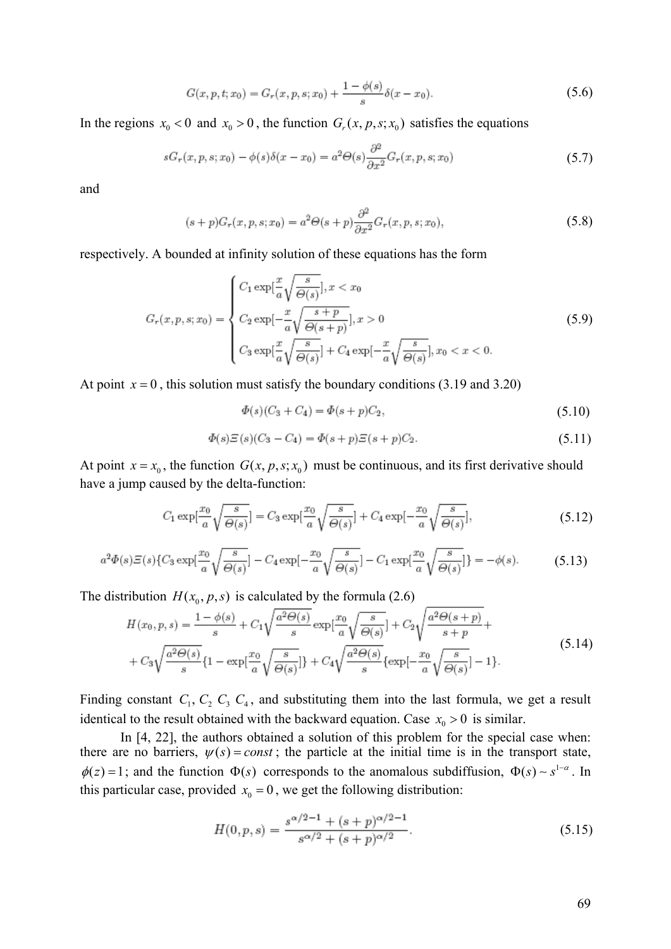$$
G(x, p, t; x_0) = G_r(x, p, s; x_0) + \frac{1 - \phi(s)}{s} \delta(x - x_0).
$$
\n(5.6)

In the regions  $x_0 < 0$  and  $x_0 > 0$ , the function  $G_r(x, p, s; x_0)$  satisfies the equations

$$
sG_r(x, p, s; x_0) - \phi(s)\delta(x - x_0) = a^2 \Theta(s) \frac{\partial^2}{\partial x^2} G_r(x, p, s; x_0)
$$
\n
$$
(5.7)
$$

and

$$
(s+p)G_r(x,p,s;x_0) = a^2 \Theta(s+p) \frac{\partial^2}{\partial x^2} G_r(x,p,s;x_0),
$$
\n
$$
(5.8)
$$

respectively. A bounded at infinity solution of these equations has the form

$$
G_r(x, p, s; x_0) = \begin{cases} C_1 \exp\left[\frac{x}{a}\sqrt{\frac{s}{\Theta(s)}}\right], x < x_0\\ C_2 \exp\left[-\frac{x}{a}\sqrt{\frac{s+p}{\Theta(s+p)}}\right], x > 0\\ C_3 \exp\left[\frac{x}{a}\sqrt{\frac{s}{\Theta(s)}}\right] + C_4 \exp\left[-\frac{x}{a}\sqrt{\frac{s}{\Theta(s)}}\right], x_0 < x < 0. \end{cases} \tag{5.9}
$$

At point  $x = 0$ , this solution must satisfy the boundary conditions (3.19 and 3.20)

$$
\Phi(s)(C_3 + C_4) = \Phi(s+p)C_2,\tag{5.10}
$$

$$
\Phi(s)\Xi(s)(C_3 - C_4) = \Phi(s+p)\Xi(s+p)C_2.
$$
\n(5.11)

At point  $x = x_0$ , the function  $G(x, p, s; x_0)$  must be continuous, and its first derivative should have a jump caused by the delta-function:

$$
C_1 \exp\left[\frac{x_0}{a}\sqrt{\frac{s}{\Theta(s)}}\right] = C_3 \exp\left[\frac{x_0}{a}\sqrt{\frac{s}{\Theta(s)}}\right] + C_4 \exp\left[-\frac{x_0}{a}\sqrt{\frac{s}{\Theta(s)}}\right],\tag{5.12}
$$

$$
a^2 \Phi(s) \Xi(s) \{ C_3 \exp\left[\frac{x_0}{a} \sqrt{\frac{s}{\Theta(s)}}\right] - C_4 \exp\left[-\frac{x_0}{a} \sqrt{\frac{s}{\Theta(s)}}\right] - C_1 \exp\left[\frac{x_0}{a} \sqrt{\frac{s}{\Theta(s)}}\right] \} = -\phi(s). \tag{5.13}
$$

The distribution  $H(x_0, p, s)$  is calculated by the formula (2.6)

$$
H(x_0, p, s) = \frac{1 - \phi(s)}{s} + C_1 \sqrt{\frac{a^2 \Theta(s)}{s}} \exp\left[\frac{x_0}{a} \sqrt{\frac{s}{\Theta(s)}}\right] + C_2 \sqrt{\frac{a^2 \Theta(s+p)}{s+p}} + C_3 \sqrt{\frac{a^2 \Theta(s)}{s}} \{1 - \exp\left[\frac{x_0}{a} \sqrt{\frac{s}{\Theta(s)}}\right]\} + C_4 \sqrt{\frac{a^2 \Theta(s)}{s}} \{\exp\left[-\frac{x_0}{a} \sqrt{\frac{s}{\Theta(s)}}\right] - 1\}.
$$
\n(5.14)

Finding constant  $C_1$ ,  $C_2$ ,  $C_3$ ,  $C_4$ , and substituting them into the last formula, we get a result identical to the result obtained with the backward equation. Case  $x_0 > 0$  is similar.

In [4, 22], the authors obtained a solution of this problem for the special case when: there are no barriers,  $\psi(s) = const$ ; the particle at the initial time is in the transport state,  $\phi(z) = 1$ ; and the function  $\Phi(s)$  corresponds to the anomalous subdiffusion,  $\Phi(s) \sim s^{1-\alpha}$ . In this particular case, provided  $x_0 = 0$ , we get the following distribution:

$$
H(0, p, s) = \frac{s^{\alpha/2 - 1} + (s + p)^{\alpha/2 - 1}}{s^{\alpha/2} + (s + p)^{\alpha/2}}.
$$
\n(5.15)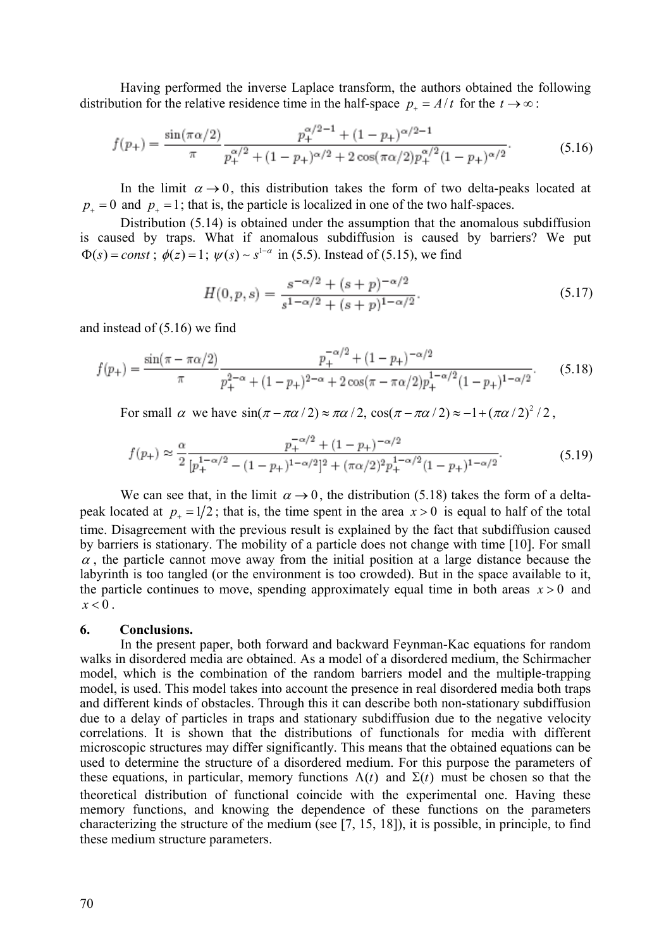Having performed the inverse Laplace transform, the authors obtained the following distribution for the relative residence time in the half-space  $p_+ = A/t$  for the  $t \to \infty$ :

$$
f(p_{+}) = \frac{\sin(\pi \alpha/2)}{\pi} \frac{p_{+}^{\alpha/2 - 1} + (1 - p_{+})^{\alpha/2 - 1}}{p_{+}^{\alpha/2} + (1 - p_{+})^{\alpha/2} + 2\cos(\pi \alpha/2)p_{+}^{\alpha/2}(1 - p_{+})^{\alpha/2}}.
$$
(5.16)

In the limit  $\alpha \rightarrow 0$ , this distribution takes the form of two delta-peaks located at  $p_+ = 0$  and  $p_+ = 1$ ; that is, the particle is localized in one of the two half-spaces.

Distribution (5.14) is obtained under the assumption that the anomalous subdiffusion is caused by traps. What if anomalous subdiffusion is caused by barriers? We put  $\Phi(s) = const$ ;  $\phi(z) = 1$ ;  $\psi(s) \sim s^{1-\alpha}$  in (5.5). Instead of (5.15), we find

$$
H(0, p, s) = \frac{s^{-\alpha/2} + (s+p)^{-\alpha/2}}{s^{1-\alpha/2} + (s+p)^{1-\alpha/2}}.
$$
\n(5.17)

and instead of (5.16) we find

$$
f(p_{+}) = \frac{\sin(\pi - \pi\alpha/2)}{\pi} \frac{p_{+}^{-\alpha/2} + (1 - p_{+})^{-\alpha/2}}{p_{+}^{2-\alpha} + (1 - p_{+})^{2-\alpha} + 2\cos(\pi - \pi\alpha/2)p_{+}^{1-\alpha/2}(1 - p_{+})^{1-\alpha/2}}.
$$
(5.18)

For small  $\alpha$  we have  $\sin(\pi - \pi \alpha / 2) \approx \pi \alpha / 2$ ,  $\cos(\pi - \pi \alpha / 2) \approx -1 + (\pi \alpha / 2)^2 / 2$ ,

$$
f(p_{+}) \approx \frac{\alpha}{2} \frac{p_{+}^{-\alpha/2} + (1 - p_{+})^{-\alpha/2}}{[p_{+}^{1-\alpha/2} - (1 - p_{+})^{1-\alpha/2}]^{2} + (\pi \alpha/2)^{2} p_{+}^{1-\alpha/2} (1 - p_{+})^{1-\alpha/2}}.
$$
(5.19)

We can see that, in the limit  $\alpha \rightarrow 0$ , the distribution (5.18) takes the form of a deltapeak located at  $p_1 = 1/2$ ; that is, the time spent in the area  $x > 0$  is equal to half of the total time. Disagreement with the previous result is explained by the fact that subdiffusion caused by barriers is stationary. The mobility of a particle does not change with time [10]. For small  $\alpha$ , the particle cannot move away from the initial position at a large distance because the labyrinth is too tangled (or the environment is too crowded). But in the space available to it, the particle continues to move, spending approximately equal time in both areas  $x > 0$  and  $x < 0$ .

#### **6. Conclusions.**

In the present paper, both forward and backward Feynman-Kac equations for random walks in disordered media are obtained. As a model of a disordered medium, the Schirmacher model, which is the combination of the random barriers model and the multiple-trapping model, is used. This model takes into account the presence in real disordered media both traps and different kinds of obstacles. Through this it can describe both non-stationary subdiffusion due to a delay of particles in traps and stationary subdiffusion due to the negative velocity correlations. It is shown that the distributions of functionals for media with different microscopic structures may differ significantly. This means that the obtained equations can be used to determine the structure of a disordered medium. For this purpose the parameters of these equations, in particular, memory functions  $\Lambda(t)$  and  $\Sigma(t)$  must be chosen so that the theoretical distribution of functional coincide with the experimental one. Having these memory functions, and knowing the dependence of these functions on the parameters characterizing the structure of the medium (see [7, 15, 18]), it is possible, in principle, to find these medium structure parameters.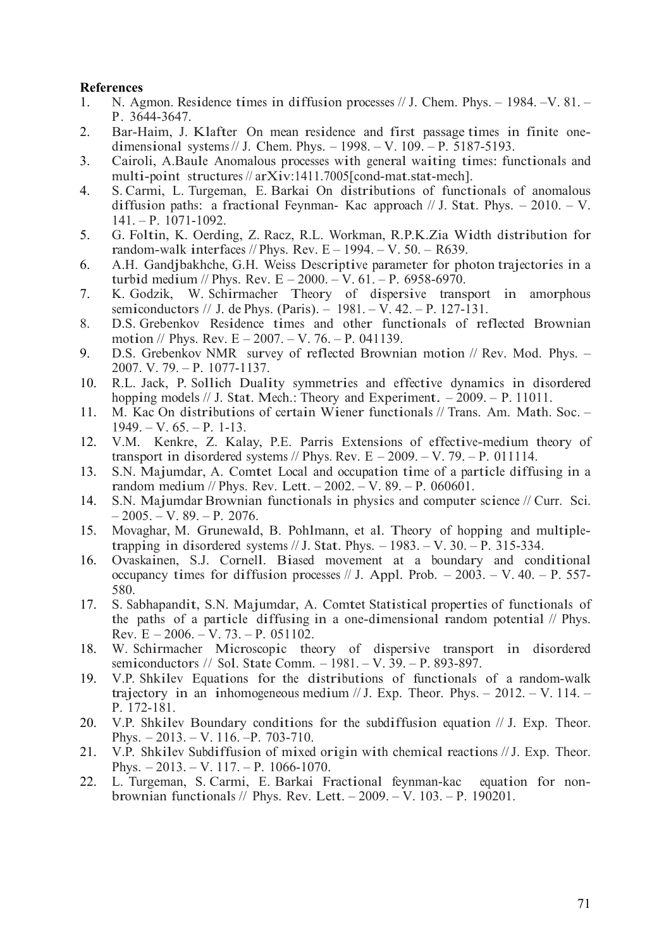# **References**

- 1. N. Agmon. Residence times in diffusion processes // J. Chem. Phys. 1984. –V. 81. P. 3644-3647.
- 2. Bar-Haim, J. Klafter On mean residence and first passage times in finite onedimensional systems // J. Chem. Phys. – 1998. – V. 109. – P. 5187-5193.
- 3. Cairoli, A.Baule Anomalous processes with general waiting times: functionals and multi-point structures // arXiv:1411.7005[cond-mat.stat-mech].
- 4. S. Carmi, L. Turgeman, E. Barkai On distributions of functionals of anomalous diffusion paths: a fractional Feynman- Kac approach  $// J. Stat. Phys. -2010. -V.$ 141. – P. 1071-1092.
- 5. G. Foltin, K. Oerding, Z. Racz, R.L. Workman, R.P.K.Zia Width distribution for random-walk interfaces // Phys. Rev.  $E - 1994$ .  $- V. 50$ .  $- R639$ .
- 6. A.H. Gandjbakhche, G.H. Weiss Descriptive parameter for photon trajectories in a turbid medium // Phys. Rev.  $E - 2000 = V. 61 = P. 6958-6970$ .
- 7. K. Godzik, W. Schirmacher Theory of dispersive transport in amorphous semiconductors // J. de Phys. (Paris).  $-1981. - V. 42. - P. 127-131.$
- 8. D.S. Grebenkov Residence times and other functionals of reflected Brownian motion // Phys. Rev.  $E - 2007 - V$ . 76. - P. 041139.
- 9. D.S. Grebenkov NMR survey of reflected Brownian motion // Rev. Mod. Phys. 2007. V. 79. – P. 1077-1137.
- 10. R.L. Jack, P. Sollich Duality symmetries and effective dynamics in disordered hopping models // J. Stat. Mech.: Theory and Experiment. – 2009. – P. 11011.
- 11. M. Kac On distributions of certain Wiener functionals // Trans. Am. Math. Soc.  $1949. - V. 65. - P. 1-13.$
- 12. V.M. Kenkre, Z. Kalay, P.E. Parris Extensions of effective-medium theory of transport in disordered systems // Phys. Rev.  $E - 2009$ . – V. 79. – P. 011114.
- 13. S.N. Majumdar, A. Comtet Local and occupation time of a particle diffusing in a random medium // Phys. Rev. Lett. – 2002. – V. 89. – P. 060601.
- 14. S.N. Majumdar Brownian functionals in physics and computer science // Curr. Sci.  $-2005. - V. 89. - P. 2076.$
- 15. Movaghar, M. Grunewald, B. Pohlmann, et al. Theory of hopping and multipletrapping in disordered systems  $// J. Stat. Phys. -1983. -V. 30. -P. 315-334.$
- 16. Ovaskainen, S.J. Cornell. Biased movement at a boundary and conditional occupancy times for diffusion processes  $// J.$  Appl. Prob.  $- 2003. - V.$  40.  $- P.$  557-580.
- 17. S. Sabhapandit, S.N. Majumdar, A. Comtet Statistical properties of functionals of the paths of a particle diffusing in a one-dimensional random potential // Phys. Rev.  $E - 2006$ .  $-V. 73$ .  $-P. 051102$ .
- 18. W. Schirmacher Microscopic theory of dispersive transport in disordered semiconductors // Sol. State Comm. – 1981. – V. 39. – P. 893-897.
- 19. V.P. Shkilev Equations for the distributions of functionals of a random-walk trajectory in an inhomogeneous medium  $/ J$ . Exp. Theor. Phys. – 2012. – V. 114. – P. 172-181.
- 20. V.P. Shkilev Boundary conditions for the subdiffusion equation // J. Exp. Theor. Phys. – 2013. – V. 116. –P. 703-710.
- 21. V.P. Shkilev Subdiffusion of mixed origin with chemical reactions // J. Exp. Theor. Phys. – 2013. – V. 117. – P. 1066-1070.
- 22. L. Turgeman, S. Carmi, E. Barkai Fractional feynman-kac equation for nonbrownian functionals // Phys. Rev. Lett. – 2009. – V. 103. – P. 190201.